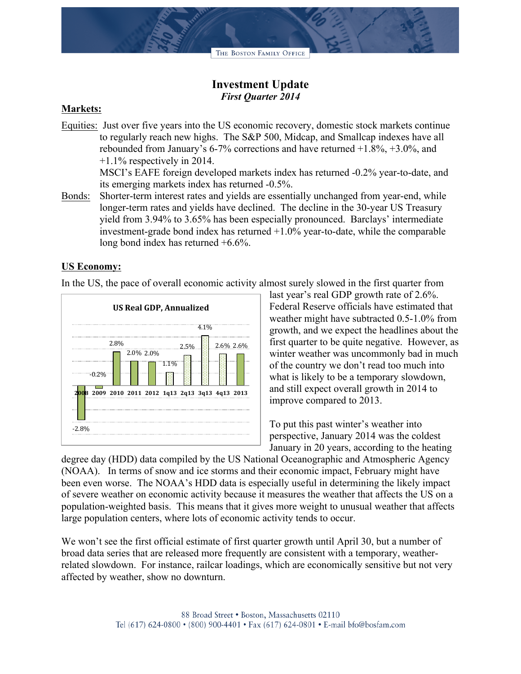THE BOSTON FAMILY OFFICE

# **Investment Update** *First Quarter 2014*

### **Markets:**

Equities: Just over five years into the US economic recovery, domestic stock markets continue to regularly reach new highs. The S&P 500, Midcap, and Smallcap indexes have all rebounded from January's 6-7% corrections and have returned +1.8%, +3.0%, and +1.1% respectively in 2014.

MSCI's EAFE foreign developed markets index has returned -0.2% year-to-date, and its emerging markets index has returned -0.5%.

Bonds: Shorter-term interest rates and yields are essentially unchanged from year-end, while longer-term rates and yields have declined. The decline in the 30-year US Treasury yield from 3.94% to 3.65% has been especially pronounced. Barclays' intermediate investment-grade bond index has returned +1.0% year-to-date, while the comparable long bond index has returned +6.6%.

### **US Economy:**

In the US, the pace of overall economic activity almost surely slowed in the first quarter from



last year's real GDP growth rate of 2.6%. Federal Reserve officials have estimated that weather might have subtracted 0.5-1.0% from growth, and we expect the headlines about the first quarter to be quite negative. However, as winter weather was uncommonly bad in much of the country we don't read too much into what is likely to be a temporary slowdown, and still expect overall growth in 2014 to improve compared to 2013.

To put this past winter's weather into perspective, January 2014 was the coldest January in 20 years, according to the heating

degree day (HDD) data compiled by the US National Oceanographic and Atmospheric Agency (NOAA). In terms of snow and ice storms and their economic impact, February might have been even worse. The NOAA's HDD data is especially useful in determining the likely impact of severe weather on economic activity because it measures the weather that affects the US on a population-weighted basis. This means that it gives more weight to unusual weather that affects large population centers, where lots of economic activity tends to occur.

We won't see the first official estimate of first quarter growth until April 30, but a number of broad data series that are released more frequently are consistent with a temporary, weatherrelated slowdown. For instance, railcar loadings, which are economically sensitive but not very affected by weather, show no downturn.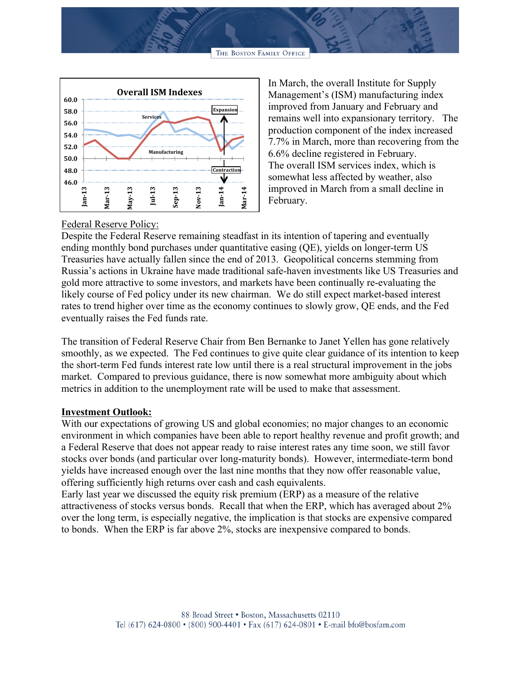THE BOSTON FAMILY OFFICE



In March, the overall Institute for Supply Management's (ISM) manufacturing index improved from January and February and remains well into expansionary territory. The production component of the index increased 7.7% in March, more than recovering from the 6.6% decline registered in February. The overall ISM services index, which is somewhat less affected by weather, also improved in March from a small decline in February.

### Federal Reserve Policy:

Despite the Federal Reserve remaining steadfast in its intention of tapering and eventually ending monthly bond purchases under quantitative easing (QE), yields on longer-term US Treasuries have actually fallen since the end of 2013. Geopolitical concerns stemming from Russia's actions in Ukraine have made traditional safe-haven investments like US Treasuries and gold more attractive to some investors, and markets have been continually re-evaluating the likely course of Fed policy under its new chairman. We do still expect market-based interest rates to trend higher over time as the economy continues to slowly grow, QE ends, and the Fed eventually raises the Fed funds rate.

The transition of Federal Reserve Chair from Ben Bernanke to Janet Yellen has gone relatively smoothly, as we expected. The Fed continues to give quite clear guidance of its intention to keep the short-term Fed funds interest rate low until there is a real structural improvement in the jobs market. Compared to previous guidance, there is now somewhat more ambiguity about which metrics in addition to the unemployment rate will be used to make that assessment.

## **Investment Outlook:**

With our expectations of growing US and global economies; no major changes to an economic environment in which companies have been able to report healthy revenue and profit growth; and a Federal Reserve that does not appear ready to raise interest rates any time soon, we still favor stocks over bonds (and particular over long-maturity bonds). However, intermediate-term bond yields have increased enough over the last nine months that they now offer reasonable value, offering sufficiently high returns over cash and cash equivalents.

Early last year we discussed the equity risk premium (ERP) as a measure of the relative attractiveness of stocks versus bonds. Recall that when the ERP, which has averaged about 2% over the long term, is especially negative, the implication is that stocks are expensive compared to bonds. When the ERP is far above 2%, stocks are inexpensive compared to bonds.